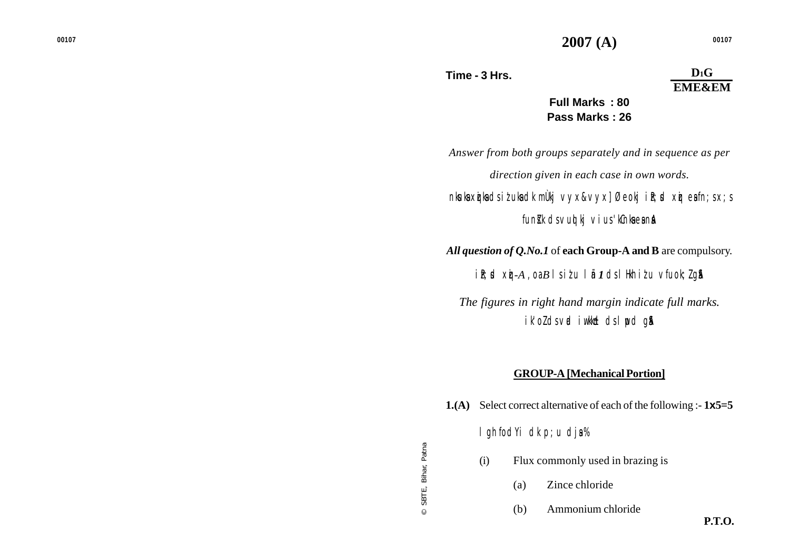© SBTE, Biha

r, Patna

# $D_1$ **G EME&EM**

**Full Marks : 80 Pass Marks : 26**

*Answer from both groups separately and in sequence as per direction given in each case in own words.*

*nksuksa xzqiksa ds iz'uksa dk mÙkj vyx&vyx] Øeokj izR;sd xqzi esa fn;s x;s funik ds vuq kj vius 'kCnka ea na* 

*All question of Q.No.1* of **each Group-A and B** are compulsory.

*iR; d xij-A , oa B | siłu | ii 1* ds| Hkh iłu vfuok; *l* g\$A

*The figures in right hand margin indicate full marks. ik'oZ ds vad iw.kk±d ds lwpd gSaA*

### **GROUP-A [Mechanical Portion]**

- **1.(A)** Select correct alternative of each of the following :- **1 x5=5** I gh fodYi dk p; u dja% (i) Flux commonly used in brazing is (a) Zince chloride
	-
	- (b) Ammonium chloride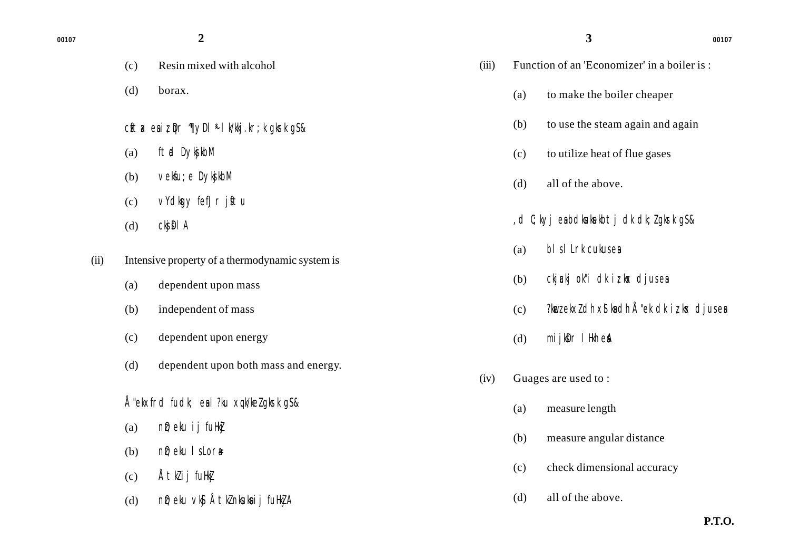| ۰.<br>۰<br>×<br>× | ۰, |
|-------------------|----|

- (c) Resin mixed with alcohol
- (d) borax.
- cftax esiz  $\mathbb{Q}$ r  $\mathbb{Q}$ yDl<sup>\*</sup> lk/kkj.kr;k gkrk gS&
- (a) ftad DyksjkbM
- (b) veksfu; e DykjakbM
- (c) vYdkgy fefJr jftu
- $(d)$  ckj $\Omega$ l A
- (ii) Intensive property of a thermodynamic system is
	- (a) dependent upon mass
	- (b) independent of mass
	- (c) dependent upon energy
	- (d) dependent upon both mass and energy.
	- Å"ekxfrd fudk; eal?ku xqk/ke $l$  gkrk g $s$ &
	- (a)  $n\mathbf{\hat{i}}$ ; eku ij fuHk $\mathbf{\hat{j}}$
	- (b)  $n\hat{v}$ ; eku ls Lor $\hat{v}$ =
	- $(c)$  Åtklij fuHk $j$
	- (d) n $\hat{D}$ ; eku vk $\hat{S}$  Åtk $\hat{L}$  nkuka ij fuHk $\hat{I}$ A

**2 2 00107** 

| (iii) Function of an 'Economizer' in a boiler is: |
|---------------------------------------------------|
|                                                   |

(a) to make the boiler cheaper

**3**

- (b) to use the steam again and again
- (c) to utilize heat of flue gases
- (d) all of the above.
- ,d C;kyj esa bdksuksekbtj dk dk;Z gksrk gS &
- $(a)$  bls I Lrk cukus es
- (b) ckj $\mathbb{R}$ kj ok"i dk iz, kx djus es
- $(c)$  ?kwez ekxz dh x \$ ka dh Å "ek dk iz; kx djus ea
- (d)  $\text{mi}$  jk $\text{Dr}$  l Hkh est
- (iv) Guages are used to :
	- (a) measure length
	- (b) measure angular distance
	- (c) check dimensional accuracy
	- (d) all of the above.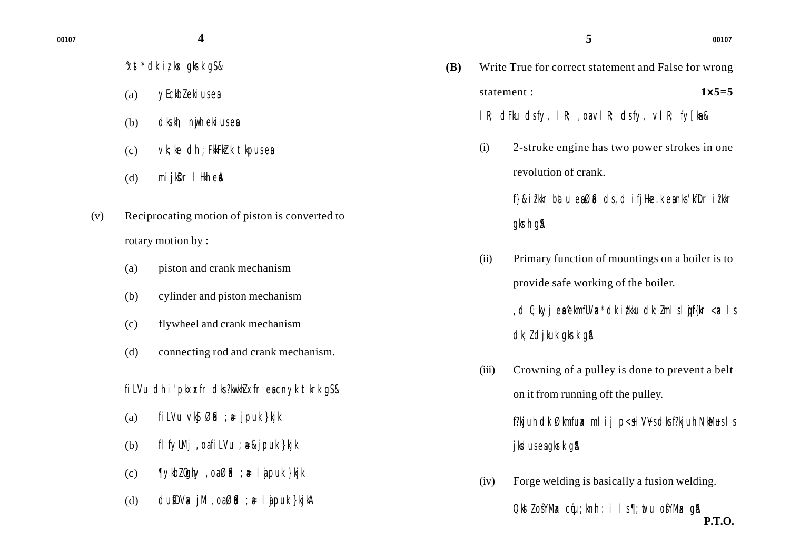- $\chi$ st<sup>\*</sup> dk iz kx gkrk g $s$
- (a) yEckblekius es
- (b) dks.kh; nwjh ekius esa
- $\mathcal{C}$  vk; ke dh; FkkFk $\mathcal{C}$ k tk $\mathcal{D}$ us esa
- $(d)$  mijk $D \Gamma$  lHkh est
- (v) Reciprocating motion of piston is converted to rotary motion by :
	- (a) piston and crank mechanism
	- (b) cylinder and piston mechanism
	- (c) flywheel and crank mechanism
	- (d) connecting rod and crank mechanism.
	- fillVu dh i'pkxxfr dks?kw.khZ xfr escnyk tkrk g\$&
	- (a) fil Vu vk  $\mathfrak{B}$ id ;  $\ast$  jpuk }kjk
	- (b) flfyUMj, oafiLVu ;  $\ast$ &jpuk }kjk
	- (c)  $\P$ ykbl0ghy, oaØid ; a= lajpuk }kjk
	- (d)  $\frac{d}{dx}$  dusfDV $x$  jM ,  $\frac{d}{dx}$  is  $\frac{d}{dx}$  i  $\frac{d}{dx}$  i  $\frac{d}{dx}$  by kine and  $\frac{d}{dx}$

**5**

**(B)** Write True for correct statement and False for wrong statement : **1x5=5** lR; dFku ds fy, lR; ,oa vlR; ds fy, vlR; fy[ksa & (i) 2-stroke engine has two power strokes in one revolution of crank. f}&i?kkr batu eaØid ds, d ifjHke.k eanks 'kfDr i?kkr

### gkrh g&

- (ii) Primary function of mountings on a boiler is to provide safe working of the boiler.
	- , d  $C$ ; kyj en 'ekmfUVax dk izkku dk; Z m I s I gif{kr <ax I s  $dk; L$  djkuk gkrk g $\AA$
- (iii) Crowning of a pulley is done to prevent a belt on it from running off the pulley.

f?kjuh dk Økmfu $x$  mlij p< $\frac{s}{s}$ iVVs dks f?kjuh NkM $\frac{s}{s}$ ls jksdus ea gkrk g &

**P.T.O.** (iv) Forge welding is basically a fusion welding.  $Q$ kst $Z$  of YMax cfu; knh : i ls ¶; wtu of YMax q&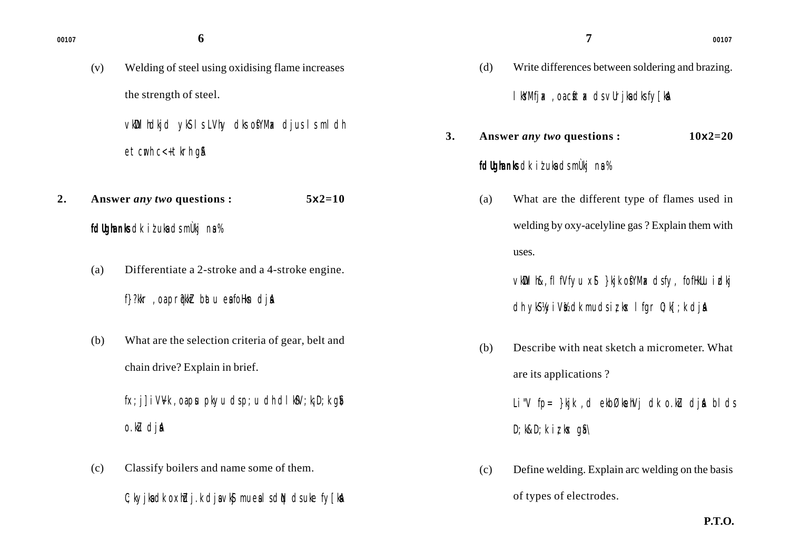(v) Welding of steel using oxidising flame increases the strength of steel.

> vkWDlhdkjd ykS ls LVhy dks osfYMax djus ls mldh etcwh c<+ tkrh g&

- **2. Answer** *any two* **questions : 5x2=10**
	- *fdUgha nks* dk it uka ds mÙkj na %
	- (a) Differentiate a 2-stroke and a 4-stroke engine.
		- f}?kkr, oa pr@kklr batu ea foHkn djA
	- (b) What are the selection criteria of gear, belt and chain drive? Explain in brief.

 $f(x; j)$  iVVk, oa pu pkyu ds p;u dh dlk $sV$ ; k; D;k q $\delta\lambda$  $o$ .ku dja

(c) Classify boilers and name some of them.  $C$ ; kyjka dk oxhdj.k dja vk $S$  muesi s di $N$  ds uke fy [kaA

|    |     | <b>fdlighenks</b> dkit uka dsmulkjna %           |             |
|----|-----|--------------------------------------------------|-------------|
| 3. |     | Answer <i>any</i> two questions :                | $10x2 = 20$ |
|    |     | l kYMfjak, oa cftak ds vurjka dksfylkan          |             |
|    | (d) | Write differences between soldering and brazing. |             |

**7**

- (a) What are the different type of flames used in welding by oxy-acelyline gas ? Explain them with uses.
	- vkWDlh&,flfVfyu xSl }kjk osfYMax ds fy, fofHkUu izdkj dh y $\mathcal{B}$ kyiV $\mathcal{U}$ dk mudsiziks lfgr 0;k[;k dj**a**
- (b) Describe with neat sketch a micrometer. What are its applications ?

Li"V fp=  $\frac{1}{2}$ kjk, dekbØkehVj dk o.k $\mu$  djA blds  $D$ ; k&D; k iz k $\times$  q\$\

(c) Define welding. Explain arc welding on the basis of types of electrodes.

**P.T.O.**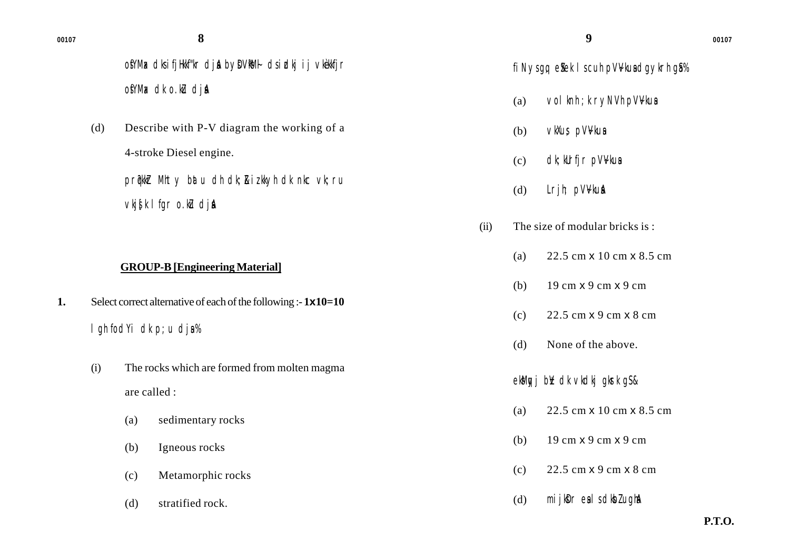ofYMax dks i fjHkkf"kr dja by DVNM+ ds i dkj i j vkèkkfjr ofYMax dk o.ku dia

(d) Describe with P-V diagram the working of a 4-stroke Diesel engine.

> prqWkr Mhty batu dh dk; &izkkyh dk nkc vk; ru  $v$ kj $\oint k$  I fgr o.ku dja

### **GROUP-B [Engineering Material]**

- **1.** Select correct alternative of each of the following :- **1x10=10**  $l$  gh fodYi dk p; u dja%
	- (i) The rocks which are formed from molten magma are called :
		- (a) sedimentary rocks
		- (b) Igneous rocks
		- (c) Metamorphic rocks
		- (d) stratified rock.

## fi Nys gq, eStek I s cuh pVV kusa daykrh g \$%

- (a) vol knh ; k ryNVh pV $V$ kus
- (b) vkXus pVVkua
- $(c)$  dk; kUrfjr pV $V$ kus
- $(d)$  Lrjh; pV $V$ ku $\AA$
- (ii) The size of modular bricks is :
	- (a) 22.5 cm x 10 cm x 8.5 cm
	- (b) 19 cm x 9 cm x 9 cm
	- (c) 22.5 cm x 9 cm x 8 cm
	- (d) None of the above.

ekMgyj b¥ dk vkdkj gkrk gS&

- (a) 22.5 cm x 10 cm x 8.5 cm
- (b) 19 cm x 9 cm x 9 cm
- (c) 22.5 cm x 9 cm x 8 cm
- $(d)$  mijk $\mathbf{D} \Gamma$  esls dk $\mathbf{D} \Gamma$  ugha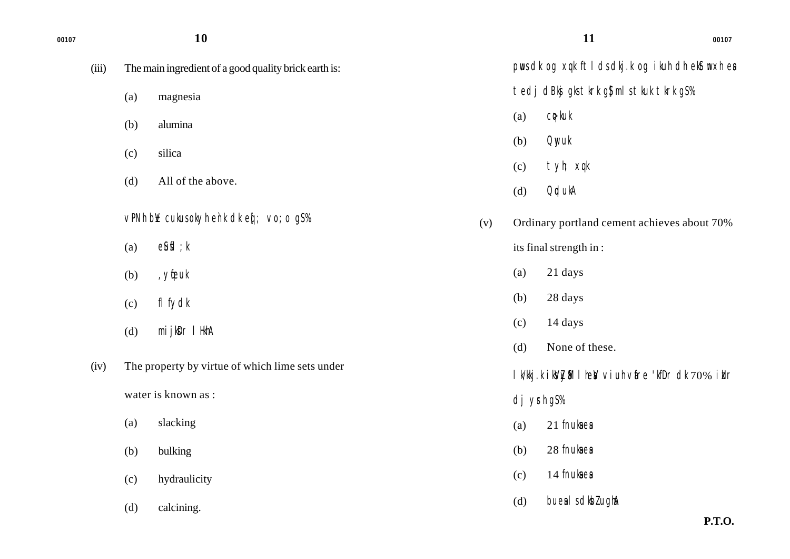| 00107 |       |     | 10                                                    |     |            | 11                                                     | 00107                              |
|-------|-------|-----|-------------------------------------------------------|-----|------------|--------------------------------------------------------|------------------------------------|
|       | (iii) |     | The main ingredient of a good quality brick earth is: |     |            | pus dk og xqk ftl ds dkj.k og ikuh dh ekstmxh ea       |                                    |
|       |       | (a) | magnesia                                              |     |            | tedj dBkj gks tkrk g\$ ml s tkuk tkrk g\$%             |                                    |
|       |       | (b) | alumina                                               |     | (a)        | $C$ $\triangleright$ kuk                               |                                    |
|       |       | (c) | silica                                                |     | (b)        | <b>Qnyuk</b>                                           |                                    |
|       |       | (d) | All of the above.                                     |     | (c)        | tyh; xqk                                               |                                    |
|       |       |     |                                                       |     | (d)        | <b>OrdukA</b>                                          |                                    |
|       |       |     | vPNh by cukus okyh enk dk eq: vo; o gS%               | (v) |            | Ordinary portland cement achieves about 70%            |                                    |
|       |       | (a) | $e$ <i>fifl</i> $; k$                                 |     |            | its final strength in:                                 |                                    |
|       |       | (b) | , yfeuk                                               |     | (a)        | 21 days                                                |                                    |
|       |       | (c) | fl fydk                                               |     | (b)        | 28 days                                                |                                    |
|       |       | (d) | mijkDr I HkhA                                         |     | (c)        | 14 days                                                |                                    |
|       |       |     |                                                       |     | (d)        | None of these.                                         |                                    |
|       | (iv)  |     | The property by virtue of which lime sets under       |     |            | I k/kkj.k i kyZy&l I hew vi uh vare 'kfDr dk 70% i klr |                                    |
|       |       |     | water is known as :                                   |     | dj yrh gS% |                                                        |                                    |
|       |       | (a) | slacking                                              |     | (a)        | 21 fnukaea                                             |                                    |
|       |       | (b) | bulking                                               |     | (b)        | 28 fnukaea                                             |                                    |
|       |       | (c) | hydraulicity                                          |     | (c)        | 14 fnukaea                                             |                                    |
|       |       | (d) | calcining.                                            |     | (d)        | bueal s dkbl ughA                                      | $\mathbf{r}$ $\mathbf{r}$ $\alpha$ |

**P.T.O.**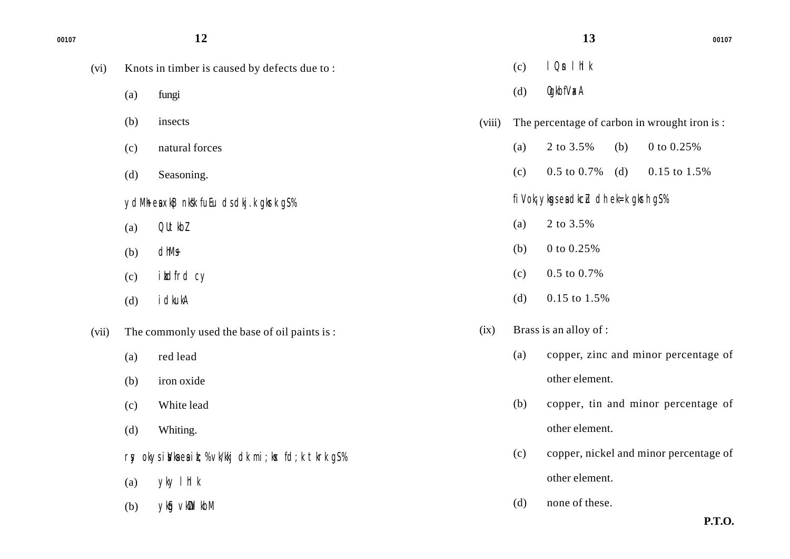| 00107 |       |     | 12                                                    |        |     | 13                                      |     | 00107                                        |
|-------|-------|-----|-------------------------------------------------------|--------|-----|-----------------------------------------|-----|----------------------------------------------|
|       | (vi)  |     | Knots in timber is caused by defects due to:          |        | (c) | $1$ On $1$ hl $k$                       |     |                                              |
|       |       | (a) | fungi                                                 |        | (d) | 0gkbfVxA                                |     |                                              |
|       |       | (b) | insects                                               | (viii) |     |                                         |     | The percentage of carbon in wrought iron is: |
|       |       | (c) | natural forces                                        |        | (a) | 2 to 3.5%                               | (b) | $0$ to $0.25\%$                              |
|       |       | (d) | Seasoning.                                            |        | (c) | $0.5$ to $0.7\%$                        | (d) | 0.15 to 1.5%                                 |
|       |       |     | ydMh ea xkB nkkk fuEu dsdkj.k gkrk g\$%               |        |     | fi Vok; ykgs ea dkcLu dh ek=k gkrh g\$% |     |                                              |
|       |       | (a) | QUtkbl                                                |        | (a) | 2 to 3.5%                               |     |                                              |
|       |       | (b) | dhMs                                                  |        | (b) | $0$ to $0.25\%$                         |     |                                              |
|       |       | (c) | ikdfrd cy                                             |        | (c) | $0.5$ to $0.7\%$                        |     |                                              |
|       |       | (d) | i dkukA                                               |        | (d) | $0.15$ to $1.5%$                        |     |                                              |
|       | (vii) |     | The commonly used the base of oil paints is:          | (ix)   |     | Brass is an alloy of :                  |     |                                              |
|       |       | (a) | red lead                                              |        | (a) |                                         |     | copper, zinc and minor percentage of         |
|       |       | (b) | iron oxide                                            |        |     | other element.                          |     |                                              |
|       |       | (c) | White lead                                            |        | (b) |                                         |     | copper, tin and minor percentage of          |
|       |       | (d) | Whiting.                                              |        |     | other element.                          |     |                                              |
|       |       |     | rsy okysia/kaeaik; % vk/kkj dk mi; ks fd; k tkrk g\$% |        | (c) |                                         |     | copper, nickel and minor percentage of       |
|       |       | (a) | yky I hI k                                            |        |     | other element.                          |     |                                              |
|       |       | (b) | ykig vkill kbM                                        |        | (d) | none of these.                          |     |                                              |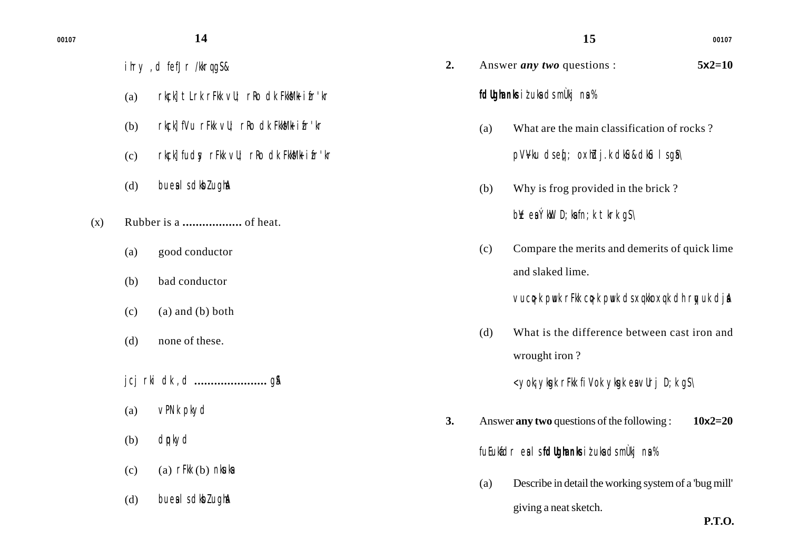- ihry, d fefJr /kkrqq\$&
- (a) rk $|c|$  tlrk rFkk  $vU$ ; rRo dk Fkk $M$ k ifr'kr
- (b) rkck] fVu rFkk vU; rRo dk FkkMk ifr'kr
- (c) rkck] fudsy rFkk vU; rRo dk FkkSM+ ifr'kr
- $(d)$  bues I s dkbl ugha
- (x) Rubber is a **..................** of heat.
	- (a) good conductor
	- (b) bad conductor
	- $(c)$  (a) and (b) both
	- (d) none of these.
	- jcj rki dk ,d **......................** gSA
	- (a) vPNk pkyd
	- (b) dqpkyd
	- $(c)$  (a) rFkk  $(b)$  nkuka
	- $(d)$  bues I s dkbl ugha

| 2. |     | Answer <i>any</i> two questions :<br>$5x2=10$                                          |
|----|-----|----------------------------------------------------------------------------------------|
|    |     | <b>f dlighenks</b> i t uke ds mulkj ne %                                               |
|    | (a) | What are the main classification of rocks?<br>pV:Vku dseqí; oxhidj.k dki6u&dki6l sgis\ |
|    | (b) | Why is frog provided in the brick?<br>$bY$ ea $Y$ kk D; kafn; k tkrk g $S \setminus$   |
|    | (c) | Compare the merits and demerits of quick lime<br>and slaked lime.                      |

**15**

vuc $\phi$ k pwk rFkk c $\phi$ k pwk ds xqkkoxqk dh rqyuk dj $\phi$ 

(d) What is the difference between cast iron and wrought iron ?

 $<$  yok; yksak rFkk fi Vok yksak es vUrj D; k g $S \setminus$ 

- **3.** Answer **any two** questions of the following : **10x2=20** *fuEukafdr esa ls fdUgha nks iz'uksa ds mÙkj nsa %*
	- (a) Describe in detail the working system of a 'bug mill' giving a neat sketch.

**14 <sup>00107</sup>**

**P.T.O.**